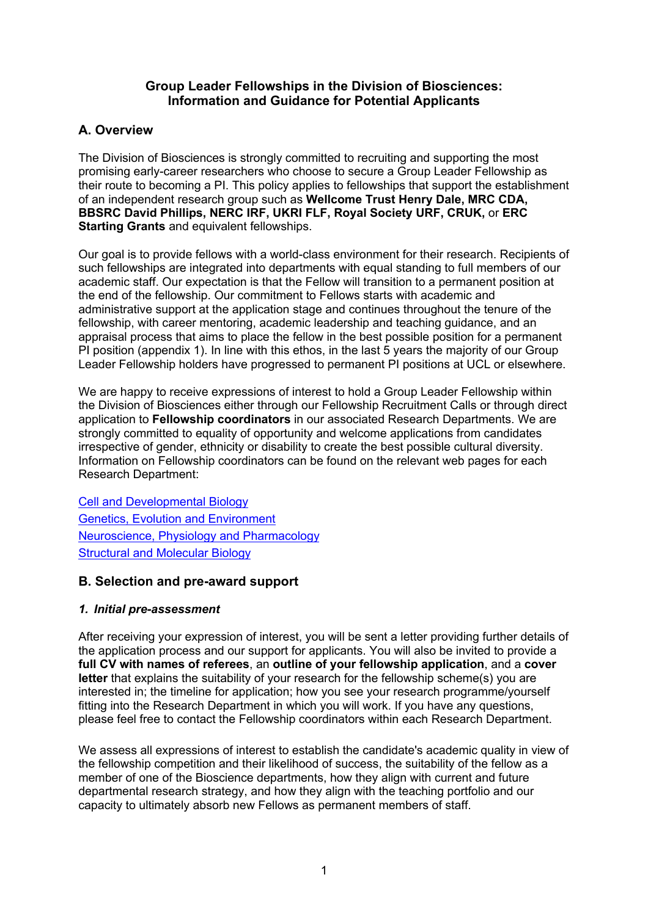### **Group Leader Fellowships in the Division of Biosciences: Information and Guidance for Potential Applicants**

# **A. Overview**

The Division of Biosciences is strongly committed to recruiting and supporting the most promising early-career researchers who choose to secure a Group Leader Fellowship as their route to becoming a PI. This policy applies to fellowships that support the establishment of an independent research group such as **Wellcome Trust Henry Dale, MRC CDA, BBSRC David Phillips, NERC IRF, UKRI FLF, Royal Society URF, CRUK,** or **ERC Starting Grants** and equivalent fellowships.

Our goal is to provide fellows with a world-class environment for their research. Recipients of such fellowships are integrated into departments with equal standing to full members of our academic staff. Our expectation is that the Fellow will transition to a permanent position at the end of the fellowship. Our commitment to Fellows starts with academic and administrative support at the application stage and continues throughout the tenure of the fellowship, with career mentoring, academic leadership and teaching guidance, and an appraisal process that aims to place the fellow in the best possible position for a permanent PI position (appendix 1). In line with this ethos, in the last 5 years the majority of our Group Leader Fellowship holders have progressed to permanent PI positions at UCL or elsewhere.

We are happy to receive expressions of interest to hold a Group Leader Fellowship within the Division of Biosciences either through our Fellowship Recruitment Calls or through direct application to **Fellowship coordinators** in our associated Research Departments. We are strongly committed to equality of opportunity and welcome applications from candidates irrespective of gender, ethnicity or disability to create the best possible cultural diversity. Information on Fellowship coordinators can be found on the relevant web pages for each Research Department:

Cell and Developmental Biology Genetics, Evolution and Environment Neuroscience, Physiology and Pharmacology Structural and Molecular Biology

# **B. Selection and pre-award support**

# *1. Initial pre-assessment*

After receiving your expression of interest, you will be sent a letter providing further details of the application process and our support for applicants. You will also be invited to provide a **full CV with names of referees**, an **outline of your fellowship application**, and a **cover letter** that explains the suitability of your research for the fellowship scheme(s) you are interested in; the timeline for application; how you see your research programme/yourself fitting into the Research Department in which you will work. If you have any questions, please feel free to contact the Fellowship coordinators within each Research Department.

We assess all expressions of interest to establish the candidate's academic quality in view of the fellowship competition and their likelihood of success, the suitability of the fellow as a member of one of the Bioscience departments, how they align with current and future departmental research strategy, and how they align with the teaching portfolio and our capacity to ultimately absorb new Fellows as permanent members of staff.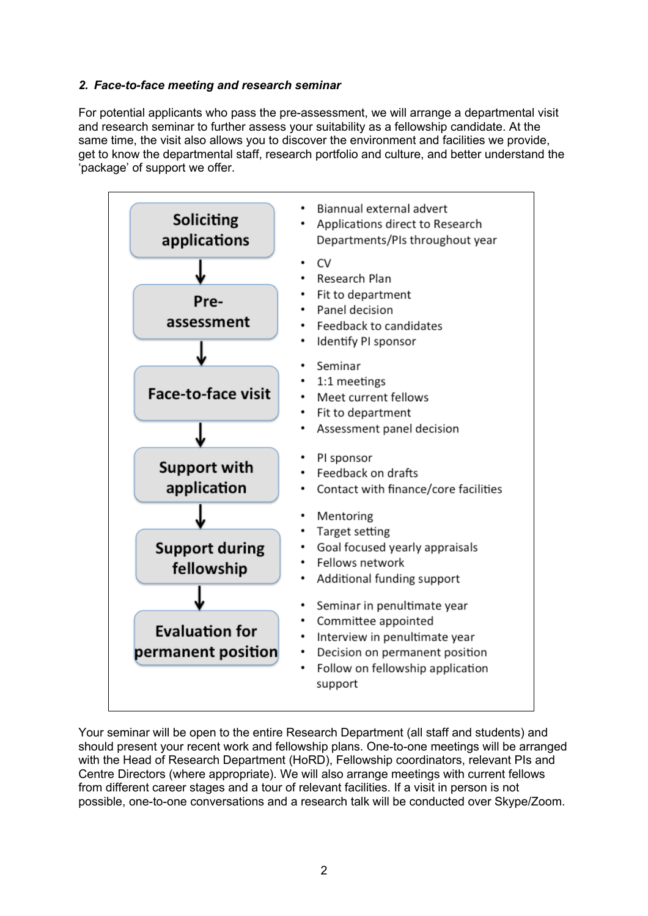### *2. Face-to-face meeting and research seminar*

For potential applicants who pass the pre-assessment, we will arrange a departmental visit and research seminar to further assess your suitability as a fellowship candidate. At the same time, the visit also allows you to discover the environment and facilities we provide, get to know the departmental staff, research portfolio and culture, and better understand the 'package' of support we offer.



Your seminar will be open to the entire Research Department (all staff and students) and should present your recent work and fellowship plans. One-to-one meetings will be arranged with the Head of Research Department (HoRD), Fellowship coordinators, relevant PIs and Centre Directors (where appropriate). We will also arrange meetings with current fellows from different career stages and a tour of relevant facilities. If a visit in person is not possible, one-to-one conversations and a research talk will be conducted over Skype/Zoom.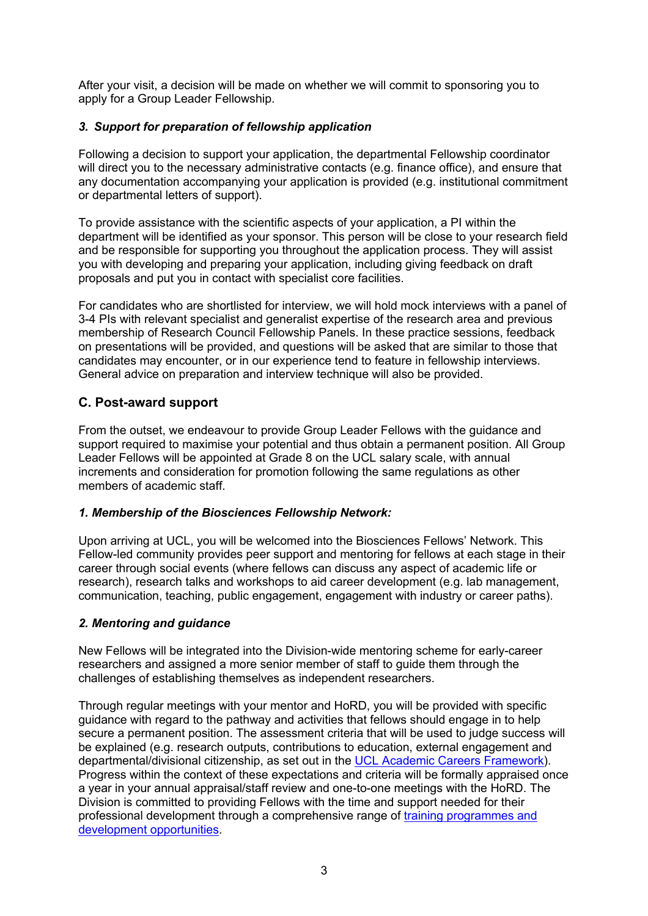After your visit, a decision will be made on whether we will commit to sponsoring you to apply for a Group Leader Fellowship.

### *3. Support for preparation of fellowship application*

Following a decision to support your application, the departmental Fellowship coordinator will direct you to the necessary administrative contacts (e.g. finance office), and ensure that any documentation accompanying your application is provided (e.g. institutional commitment or departmental letters of support).

To provide assistance with the scientific aspects of your application, a PI within the department will be identified as your sponsor. This person will be close to your research field and be responsible for supporting you throughout the application process. They will assist you with developing and preparing your application, including giving feedback on draft proposals and put you in contact with specialist core facilities.

For candidates who are shortlisted for interview, we will hold mock interviews with a panel of 3-4 PIs with relevant specialist and generalist expertise of the research area and previous membership of Research Council Fellowship Panels. In these practice sessions, feedback on presentations will be provided, and questions will be asked that are similar to those that candidates may encounter, or in our experience tend to feature in fellowship interviews. General advice on preparation and interview technique will also be provided.

# **C. Post-award support**

From the outset, we endeavour to provide Group Leader Fellows with the guidance and support required to maximise your potential and thus obtain a permanent position. All Group Leader Fellows will be appointed at Grade 8 on the UCL salary scale, with annual increments and consideration for promotion following the same regulations as other members of academic staff.

# *1. Membership of the Biosciences Fellowship Network:*

Upon arriving at UCL, you will be welcomed into the Biosciences Fellows' Network. This Fellow-led community provides peer support and mentoring for fellows at each stage in their career through social events (where fellows can discuss any aspect of academic life or research), research talks and workshops to aid career development (e.g. lab management, communication, teaching, public engagement, engagement with industry or career paths).

#### *2. Mentoring and guidance*

New Fellows will be integrated into the Division-wide mentoring scheme for early-career researchers and assigned a more senior member of staff to guide them through the challenges of establishing themselves as independent researchers.

Through regular meetings with your mentor and HoRD, you will be provided with specific guidance with regard to the pathway and activities that fellows should engage in to help secure a permanent position. The assessment criteria that will be used to judge success will be explained (e.g. research outputs, contributions to education, external engagement and departmental/divisional citizenship, as set out in the UCL Academic Careers Framework). Progress within the context of these expectations and criteria will be formally appraised once a year in your annual appraisal/staff review and one-to-one meetings with the HoRD. The Division is committed to providing Fellows with the time and support needed for their professional development through a comprehensive range of training programmes and development opportunities.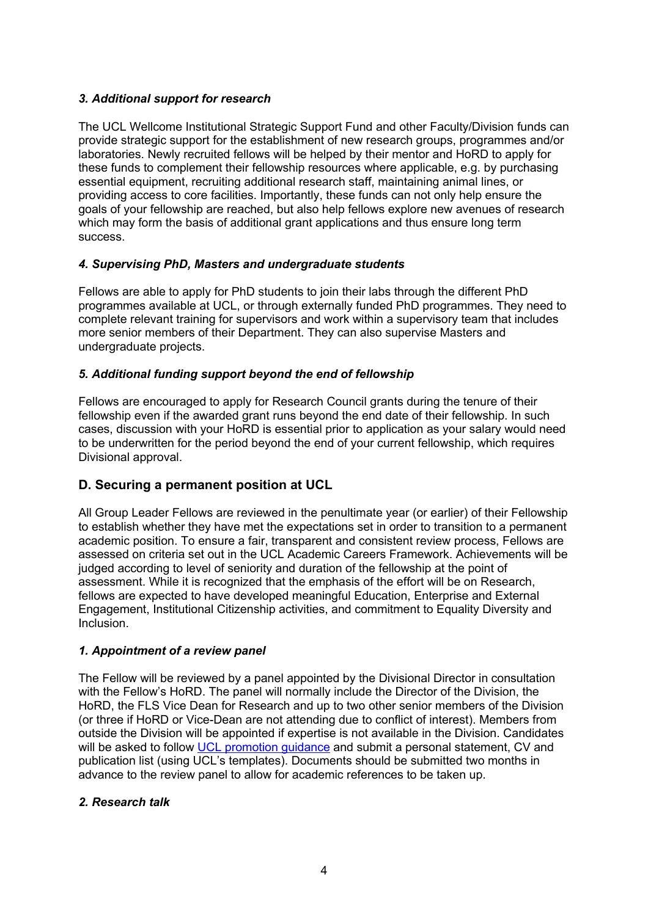# *3. Additional support for research*

The UCL Wellcome Institutional Strategic Support Fund and other Faculty/Division funds can provide strategic support for the establishment of new research groups, programmes and/or laboratories. Newly recruited fellows will be helped by their mentor and HoRD to apply for these funds to complement their fellowship resources where applicable, e.g. by purchasing essential equipment, recruiting additional research staff, maintaining animal lines, or providing access to core facilities. Importantly, these funds can not only help ensure the goals of your fellowship are reached, but also help fellows explore new avenues of research which may form the basis of additional grant applications and thus ensure long term success.

#### *4. Supervising PhD, Masters and undergraduate students*

Fellows are able to apply for PhD students to join their labs through the different PhD programmes available at UCL, or through externally funded PhD programmes. They need to complete relevant training for supervisors and work within a supervisory team that includes more senior members of their Department. They can also supervise Masters and undergraduate projects.

#### *5. Additional funding support beyond the end of fellowship*

Fellows are encouraged to apply for Research Council grants during the tenure of their fellowship even if the awarded grant runs beyond the end date of their fellowship. In such cases, discussion with your HoRD is essential prior to application as your salary would need to be underwritten for the period beyond the end of your current fellowship, which requires Divisional approval.

# **D. Securing a permanent position at UCL**

All Group Leader Fellows are reviewed in the penultimate year (or earlier) of their Fellowship to establish whether they have met the expectations set in order to transition to a permanent academic position. To ensure a fair, transparent and consistent review process, Fellows are assessed on criteria set out in the UCL Academic Careers Framework. Achievements will be judged according to level of seniority and duration of the fellowship at the point of assessment. While it is recognized that the emphasis of the effort will be on Research, fellows are expected to have developed meaningful Education, Enterprise and External Engagement, Institutional Citizenship activities, and commitment to Equality Diversity and Inclusion.

#### *1. Appointment of a review panel*

The Fellow will be reviewed by a panel appointed by the Divisional Director in consultation with the Fellow's HoRD. The panel will normally include the Director of the Division, the HoRD, the FLS Vice Dean for Research and up to two other senior members of the Division (or three if HoRD or Vice-Dean are not attending due to conflict of interest). Members from outside the Division will be appointed if expertise is not available in the Division. Candidates will be asked to follow UCL promotion guidance and submit a personal statement, CV and publication list (using UCL's templates). Documents should be submitted two months in advance to the review panel to allow for academic references to be taken up.

#### *2. Research talk*